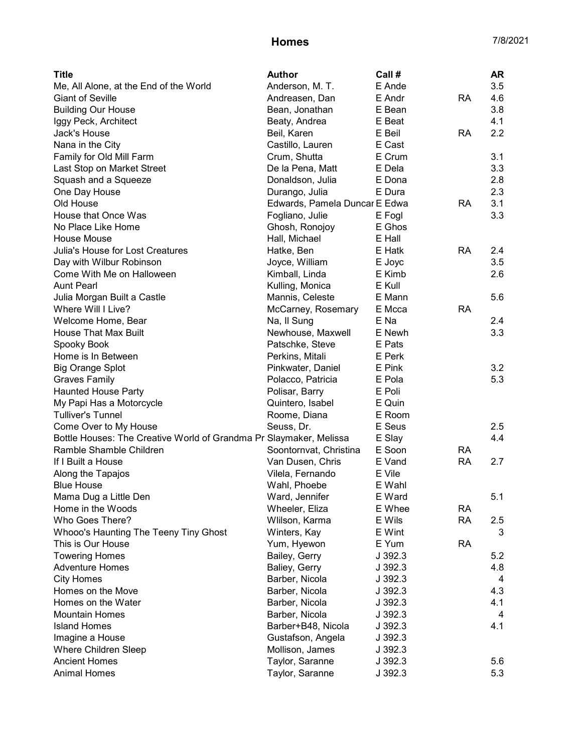| <b>Title</b>                                                        | <b>Author</b>                 | Call #  |           | <b>AR</b> |
|---------------------------------------------------------------------|-------------------------------|---------|-----------|-----------|
| Me, All Alone, at the End of the World                              | Anderson, M. T.               | E Ande  |           | 3.5       |
| <b>Giant of Seville</b>                                             | Andreasen, Dan                | E Andr  | <b>RA</b> | 4.6       |
| <b>Building Our House</b>                                           | Bean, Jonathan                | E Bean  |           | 3.8       |
| Iggy Peck, Architect                                                | Beaty, Andrea                 | E Beat  |           | 4.1       |
| Jack's House                                                        | Beil, Karen                   | E Beil  | <b>RA</b> | 2.2       |
| Nana in the City                                                    | Castillo, Lauren              | E Cast  |           |           |
| Family for Old Mill Farm                                            | Crum, Shutta                  | E Crum  |           | 3.1       |
| Last Stop on Market Street                                          | De la Pena, Matt              | E Dela  |           | 3.3       |
| Squash and a Squeeze                                                | Donaldson, Julia              | E Dona  |           | 2.8       |
| One Day House                                                       | Durango, Julia                | E Dura  |           | 2.3       |
| Old House                                                           | Edwards, Pamela Duncar E Edwa |         | <b>RA</b> | 3.1       |
| House that Once Was                                                 | Fogliano, Julie               | E Fogl  |           | 3.3       |
| No Place Like Home                                                  | Ghosh, Ronojoy                | E Ghos  |           |           |
| House Mouse                                                         | Hall, Michael                 | E Hall  |           |           |
| Julia's House for Lost Creatures                                    | Hatke, Ben                    | E Hatk  | <b>RA</b> | 2.4       |
| Day with Wilbur Robinson                                            | Joyce, William                | E Joyc  |           | 3.5       |
| Come With Me on Halloween                                           | Kimball, Linda                | E Kimb  |           | 2.6       |
| <b>Aunt Pearl</b>                                                   | Kulling, Monica               | E Kull  |           |           |
| Julia Morgan Built a Castle                                         | Mannis, Celeste               | E Mann  |           | 5.6       |
| Where Will I Live?                                                  | McCarney, Rosemary            | E Mcca  | <b>RA</b> |           |
| Welcome Home, Bear                                                  | Na, Il Sung                   | E Na    |           | 2.4       |
| House That Max Built                                                | Newhouse, Maxwell             | E Newh  |           | 3.3       |
| Spooky Book                                                         | Patschke, Steve               | E Pats  |           |           |
| Home is In Between                                                  | Perkins, Mitali               | E Perk  |           |           |
| <b>Big Orange Splot</b>                                             | Pinkwater, Daniel             | E Pink  |           | 3.2       |
| <b>Graves Family</b>                                                | Polacco, Patricia             | E Pola  |           | 5.3       |
| <b>Haunted House Party</b>                                          | Polisar, Barry                | E Poli  |           |           |
| My Papi Has a Motorcycle                                            | Quintero, Isabel              | E Quin  |           |           |
| <b>Tulliver's Tunnel</b>                                            | Roome, Diana                  | E Room  |           |           |
| Come Over to My House                                               | Seuss, Dr.                    | E Seus  |           | 2.5       |
| Bottle Houses: The Creative World of Grandma Pri Slaymaker, Melissa |                               | E Slay  |           | 4.4       |
| Ramble Shamble Children                                             | Soontornvat, Christina        | E Soon  | <b>RA</b> |           |
| If I Built a House                                                  | Van Dusen, Chris              | E Vand  | <b>RA</b> | 2.7       |
| Along the Tapajos                                                   | Vilela, Fernando              | E Vile  |           |           |
| <b>Blue House</b>                                                   | Wahl, Phoebe                  | E Wahl  |           |           |
| Mama Dug a Little Den                                               | Ward, Jennifer                | E Ward  |           | 5.1       |
| Home in the Woods                                                   | Wheeler, Eliza                | E Whee  | <b>RA</b> |           |
| Who Goes There?                                                     | Wlilson, Karma                | E Wils  | <b>RA</b> | 2.5       |
| Whooo's Haunting The Teeny Tiny Ghost                               | Winters, Kay                  | E Wint  |           | 3         |
| This is Our House                                                   | Yum, Hyewon                   | E Yum   | RA        |           |
| <b>Towering Homes</b>                                               | Bailey, Gerry                 | J 392.3 |           | 5.2       |
| <b>Adventure Homes</b>                                              | Baliey, Gerry                 | J 392.3 |           | 4.8       |
| <b>City Homes</b>                                                   | Barber, Nicola                | J 392.3 |           |           |
| Homes on the Move                                                   | Barber, Nicola                | J 392.3 |           | 4         |
|                                                                     | Barber, Nicola                |         |           | 4.3       |
| Homes on the Water                                                  |                               | J 392.3 |           | 4.1       |
| <b>Mountain Homes</b>                                               | Barber, Nicola                | J 392.3 |           | 4         |
| <b>Island Homes</b>                                                 | Barber+B48, Nicola            | J 392.3 |           | 4.1       |
| Imagine a House                                                     | Gustafson, Angela             | J 392.3 |           |           |
| Where Children Sleep                                                | Mollison, James               | J 392.3 |           |           |
| <b>Ancient Homes</b>                                                | Taylor, Saranne               | J392.3  |           | 5.6       |
| <b>Animal Homes</b>                                                 | Taylor, Saranne               | J 392.3 |           | 5.3       |